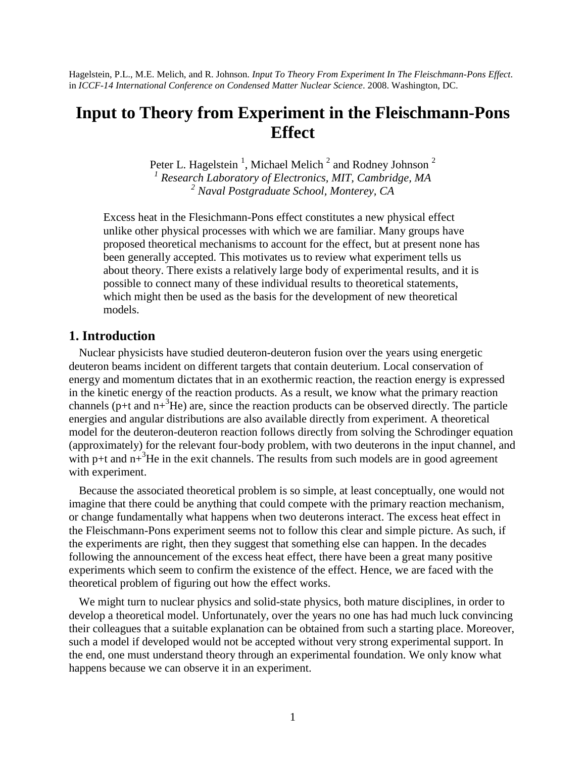Hagelstein, P.L., M.E. Melich, and R. Johnson. *Input To Theory From Experiment In The Fleischmann-Pons Effect*. in *ICCF-14 International Conference on Condensed Matter Nuclear Science*. 2008. Washington, DC.

# **Input to Theory from Experiment in the Fleischmann-Pons Effect**

Peter L. Hagelstein<sup>1</sup>, Michael Melich<sup>2</sup> and Rodney Johnson<sup>2</sup> *1 Research Laboratory of Electronics, MIT, Cambridge, MA <sup>2</sup> Naval Postgraduate School, Monterey, CA*

Excess heat in the Flesichmann-Pons effect constitutes a new physical effect unlike other physical processes with which we are familiar. Many groups have proposed theoretical mechanisms to account for the effect, but at present none has been generally accepted. This motivates us to review what experiment tells us about theory. There exists a relatively large body of experimental results, and it is possible to connect many of these individual results to theoretical statements, which might then be used as the basis for the development of new theoretical models.

### **1. Introduction**

Nuclear physicists have studied deuteron-deuteron fusion over the years using energetic deuteron beams incident on different targets that contain deuterium. Local conservation of energy and momentum dictates that in an exothermic reaction, the reaction energy is expressed in the kinetic energy of the reaction products. As a result, we know what the primary reaction channels (p+t and  $n^{3}$ He) are, since the reaction products can be observed directly. The particle energies and angular distributions are also available directly from experiment. A theoretical model for the deuteron-deuteron reaction follows directly from solving the Schrodinger equation (approximately) for the relevant four-body problem, with two deuterons in the input channel, and with p+t and  $n^{3}$ He in the exit channels. The results from such models are in good agreement with experiment.

Because the associated theoretical problem is so simple, at least conceptually, one would not imagine that there could be anything that could compete with the primary reaction mechanism, or change fundamentally what happens when two deuterons interact. The excess heat effect in the Fleischmann-Pons experiment seems not to follow this clear and simple picture. As such, if the experiments are right, then they suggest that something else can happen. In the decades following the announcement of the excess heat effect, there have been a great many positive experiments which seem to confirm the existence of the effect. Hence, we are faced with the theoretical problem of figuring out how the effect works.

We might turn to nuclear physics and solid-state physics, both mature disciplines, in order to develop a theoretical model. Unfortunately, over the years no one has had much luck convincing their colleagues that a suitable explanation can be obtained from such a starting place. Moreover, such a model if developed would not be accepted without very strong experimental support. In the end, one must understand theory through an experimental foundation. We only know what happens because we can observe it in an experiment.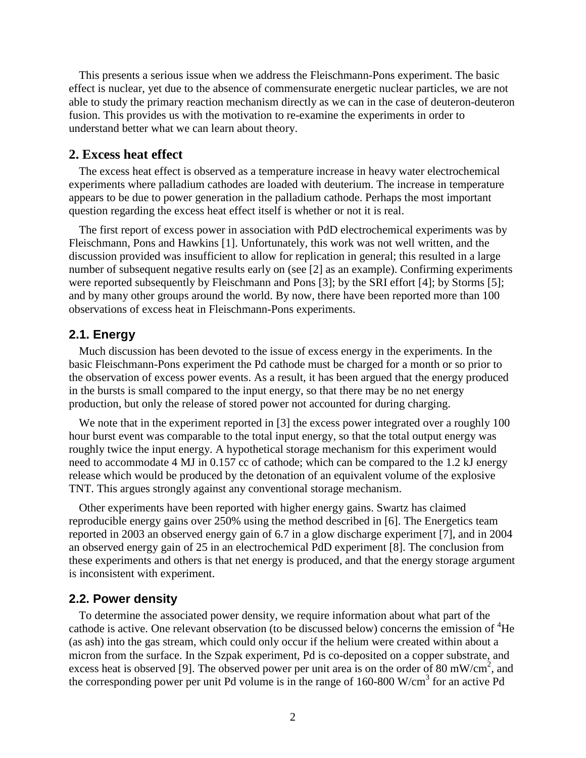This presents a serious issue when we address the Fleischmann-Pons experiment. The basic effect is nuclear, yet due to the absence of commensurate energetic nuclear particles, we are not able to study the primary reaction mechanism directly as we can in the case of deuteron-deuteron fusion. This provides us with the motivation to re-examine the experiments in order to understand better what we can learn about theory.

## **2. Excess heat effect**

The excess heat effect is observed as a temperature increase in heavy water electrochemical experiments where palladium cathodes are loaded with deuterium. The increase in temperature appears to be due to power generation in the palladium cathode. Perhaps the most important question regarding the excess heat effect itself is whether or not it is real.

The first report of excess power in association with PdD electrochemical experiments was by Fleischmann, Pons and Hawkins [1]. Unfortunately, this work was not well written, and the discussion provided was insufficient to allow for replication in general; this resulted in a large number of subsequent negative results early on (see [2] as an example). Confirming experiments were reported subsequently by Fleischmann and Pons [3]; by the SRI effort [4]; by Storms [5]; and by many other groups around the world. By now, there have been reported more than 100 observations of excess heat in Fleischmann-Pons experiments.

#### **2.1. Energy**

Much discussion has been devoted to the issue of excess energy in the experiments. In the basic Fleischmann-Pons experiment the Pd cathode must be charged for a month or so prior to the observation of excess power events. As a result, it has been argued that the energy produced in the bursts is small compared to the input energy, so that there may be no net energy production, but only the release of stored power not accounted for during charging.

We note that in the experiment reported in [3] the excess power integrated over a roughly 100 hour burst event was comparable to the total input energy, so that the total output energy was roughly twice the input energy. A hypothetical storage mechanism for this experiment would need to accommodate 4 MJ in 0.157 cc of cathode; which can be compared to the 1.2 kJ energy release which would be produced by the detonation of an equivalent volume of the explosive TNT. This argues strongly against any conventional storage mechanism.

Other experiments have been reported with higher energy gains. Swartz has claimed reproducible energy gains over 250% using the method described in [6]. The Energetics team reported in 2003 an observed energy gain of 6.7 in a glow discharge experiment [7], and in 2004 an observed energy gain of 25 in an electrochemical PdD experiment [8]. The conclusion from these experiments and others is that net energy is produced, and that the energy storage argument is inconsistent with experiment.

#### **2.2. Power density**

To determine the associated power density, we require information about what part of the cathode is active. One relevant observation (to be discussed below) concerns the emission of <sup>4</sup>He (as ash) into the gas stream, which could only occur if the helium were created within about a micron from the surface. In the Szpak experiment, Pd is co-deposited on a copper substrate, and excess heat is observed [9]. The observed power per unit area is on the order of 80 mW/cm<sup>2</sup>, and the corresponding power per unit Pd volume is in the range of  $160-800$  W/cm<sup>3</sup> for an active Pd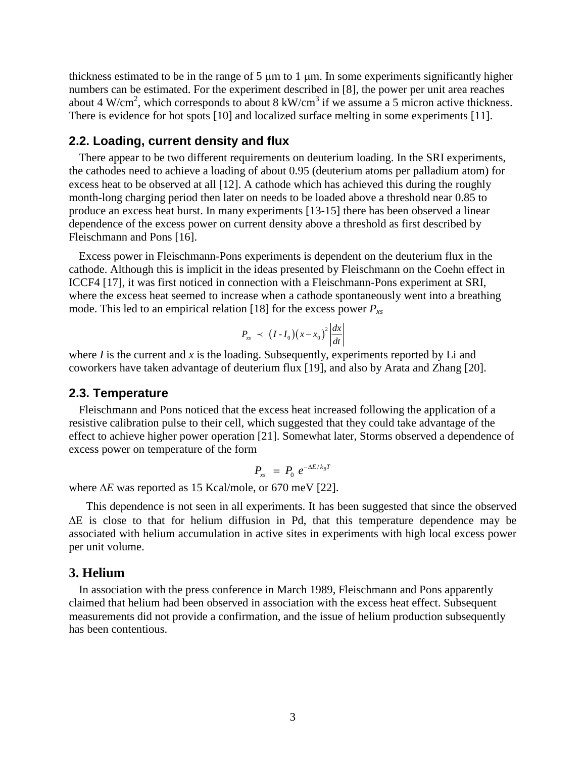thickness estimated to be in the range of  $5 \mu m$  to 1  $\mu m$ . In some experiments significantly higher numbers can be estimated. For the experiment described in [8], the power per unit area reaches about 4 W/cm<sup>2</sup>, which corresponds to about 8 kW/cm<sup>3</sup> if we assume a 5 micron active thickness. There is evidence for hot spots [10] and localized surface melting in some experiments [11].

### **2.2. Loading, current density and flux**

There appear to be two different requirements on deuterium loading. In the SRI experiments, the cathodes need to achieve a loading of about 0.95 (deuterium atoms per palladium atom) for excess heat to be observed at all [12]. A cathode which has achieved this during the roughly month-long charging period then later on needs to be loaded above a threshold near 0.85 to produce an excess heat burst. In many experiments [13-15] there has been observed a linear dependence of the excess power on current density above a threshold as first described by Fleischmann and Pons [16].

Excess power in Fleischmann-Pons experiments is dependent on the deuterium flux in the cathode. Although this is implicit in the ideas presented by Fleischmann on the Coehn effect in ICCF4 [17], it was first noticed in connection with a Fleischmann-Pons experiment at SRI, where the excess heat seemed to increase when a cathode spontaneously went into a breathing mode. This led to an empirical relation [18] for the excess power *Pxs*

$$
P_{xx} \prec (I - I_0)(x - x_0)^2 \left| \frac{dx}{dt} \right|
$$

where  $I$  is the current and  $x$  is the loading. Subsequently, experiments reported by Li and coworkers have taken advantage of deuterium flux [19], and also by Arata and Zhang [20].

#### **2.3. Temperature**

Fleischmann and Pons noticed that the excess heat increased following the application of a resistive calibration pulse to their cell, which suggested that they could take advantage of the effect to achieve higher power operation [21]. Somewhat later, Storms observed a dependence of excess power on temperature of the form

$$
P_{\scriptscriptstyle xs} \;\; = \;\; P_0 \;\; e^{-\Delta E/k_B T}
$$

where  $\Delta E$  was reported as 15 Kcal/mole, or 670 meV [22].

This dependence is not seen in all experiments. It has been suggested that since the observed  $\Delta E$  is close to that for helium diffusion in Pd, that this temperature dependence may be associated with helium accumulation in active sites in experiments with high local excess power per unit volume.

#### **3. Helium**

In association with the press conference in March 1989, Fleischmann and Pons apparently claimed that helium had been observed in association with the excess heat effect. Subsequent measurements did not provide a confirmation, and the issue of helium production subsequently has been contentious.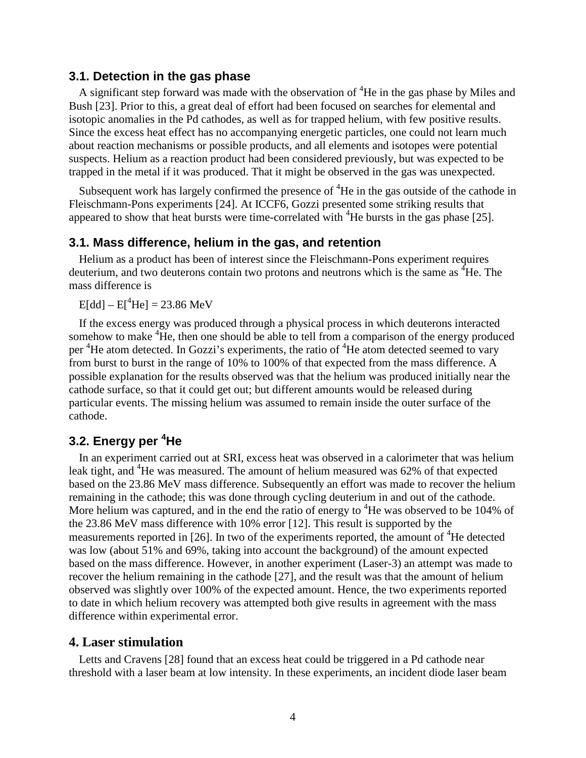### **3.1. Detection in the gas phase**

A significant step forward was made with the observation of  ${}^{4}$ He in the gas phase by Miles and Bush [23]. Prior to this, a great deal of effort had been focused on searches for elemental and isotopic anomalies in the Pd cathodes, as well as for trapped helium, with few positive results. Since the excess heat effect has no accompanying energetic particles, one could not learn much about reaction mechanisms or possible products, and all elements and isotopes were potential suspects. Helium as a reaction product had been considered previously, but was expected to be trapped in the metal if it was produced. That it might be observed in the gas was unexpected.

Subsequent work has largely confirmed the presence of  ${}^{4}$ He in the gas outside of the cathode in Fleischmann-Pons experiments [24]. At ICCF6, Gozzi presented some striking results that appeared to show that heat bursts were time-correlated with  ${}^{4}$ He bursts in the gas phase [25].

## **3.1. Mass difference, helium in the gas, and retention**

Helium as a product has been of interest since the Fleischmann-Pons experiment requires deuterium, and two deuterons contain two protons and neutrons which is the same as <sup>4</sup>He. The mass difference is

 $E[dd] - E[{}^4He] = 23.86 \text{ MeV}$ 

If the excess energy was produced through a physical process in which deuterons interacted somehow to make <sup>4</sup>He, then one should be able to tell from a comparison of the energy produced per <sup>4</sup>He atom detected. In Gozzi's experiments, the ratio of <sup>4</sup>He atom detected seemed to vary from burst to burst in the range of 10% to 100% of that expected from the mass difference. A possible explanation for the results observed was that the helium was produced initially near the cathode surface, so that it could get out; but different amounts would be released during particular events. The missing helium was assumed to remain inside the outer surface of the cathode.

## **3.2. Energy per <sup>4</sup>He**

In an experiment carried out at SRI, excess heat was observed in a calorimeter that was helium leak tight, and <sup>4</sup>He was measured. The amount of helium measured was 62% of that expected based on the 23.86 MeV mass difference. Subsequently an effort was made to recover the helium remaining in the cathode; this was done through cycling deuterium in and out of the cathode. More helium was captured, and in the end the ratio of energy to  ${}^{4}$ He was observed to be 104% of the 23.86 MeV mass difference with 10% error [12]. This result is supported by the measurements reported in [26]. In two of the experiments reported, the amount of  ${}^{4}$ He detected was low (about 51% and 69%, taking into account the background) of the amount expected based on the mass difference. However, in another experiment (Laser-3) an attempt was made to recover the helium remaining in the cathode [27], and the result was that the amount of helium observed was slightly over 100% of the expected amount. Hence, the two experiments reported to date in which helium recovery was attempted both give results in agreement with the mass difference within experimental error.

## **4. Laser stimulation**

Letts and Cravens [28] found that an excess heat could be triggered in a Pd cathode near threshold with a laser beam at low intensity. In these experiments, an incident diode laser beam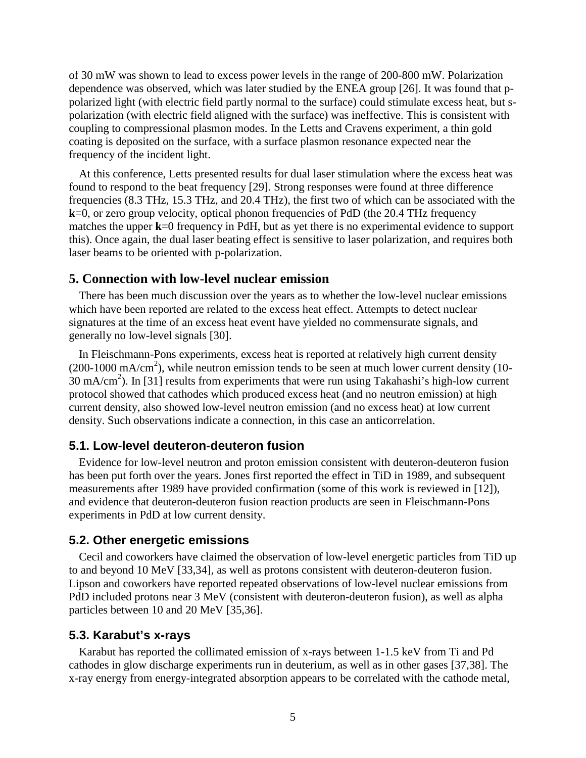of 30 mW was shown to lead to excess power levels in the range of 200-800 mW. Polarization dependence was observed, which was later studied by the ENEA group [26]. It was found that ppolarized light (with electric field partly normal to the surface) could stimulate excess heat, but spolarization (with electric field aligned with the surface) was ineffective. This is consistent with coupling to compressional plasmon modes. In the Letts and Cravens experiment, a thin gold coating is deposited on the surface, with a surface plasmon resonance expected near the frequency of the incident light.

At this conference, Letts presented results for dual laser stimulation where the excess heat was found to respond to the beat frequency [29]. Strong responses were found at three difference frequencies (8.3 THz, 15.3 THz, and 20.4 THz), the first two of which can be associated with the **k**=0, or zero group velocity, optical phonon frequencies of PdD (the 20.4 THz frequency matches the upper **k**=0 frequency in PdH, but as yet there is no experimental evidence to support this). Once again, the dual laser beating effect is sensitive to laser polarization, and requires both laser beams to be oriented with p-polarization.

## **5. Connection with low-level nuclear emission**

There has been much discussion over the years as to whether the low-level nuclear emissions which have been reported are related to the excess heat effect. Attempts to detect nuclear signatures at the time of an excess heat event have yielded no commensurate signals, and generally no low-level signals [30].

In Fleischmann-Pons experiments, excess heat is reported at relatively high current density  $(200-1000 \text{ mA/cm}^2)$ , while neutron emission tends to be seen at much lower current density (10- $30 \text{ mA/cm}^2$ ). In [31] results from experiments that were run using Takahashi's high-low current protocol showed that cathodes which produced excess heat (and no neutron emission) at high current density, also showed low-level neutron emission (and no excess heat) at low current density. Such observations indicate a connection, in this case an anticorrelation.

### **5.1. Low-level deuteron-deuteron fusion**

Evidence for low-level neutron and proton emission consistent with deuteron-deuteron fusion has been put forth over the years. Jones first reported the effect in TiD in 1989, and subsequent measurements after 1989 have provided confirmation (some of this work is reviewed in [12]), and evidence that deuteron-deuteron fusion reaction products are seen in Fleischmann-Pons experiments in PdD at low current density.

### **5.2. Other energetic emissions**

Cecil and coworkers have claimed the observation of low-level energetic particles from TiD up to and beyond 10 MeV [33,34], as well as protons consistent with deuteron-deuteron fusion. Lipson and coworkers have reported repeated observations of low-level nuclear emissions from PdD included protons near 3 MeV (consistent with deuteron-deuteron fusion), as well as alpha particles between 10 and 20 MeV [35,36].

#### **5.3. Karabut's x-rays**

Karabut has reported the collimated emission of x-rays between 1-1.5 keV from Ti and Pd cathodes in glow discharge experiments run in deuterium, as well as in other gases [37,38]. The x-ray energy from energy-integrated absorption appears to be correlated with the cathode metal,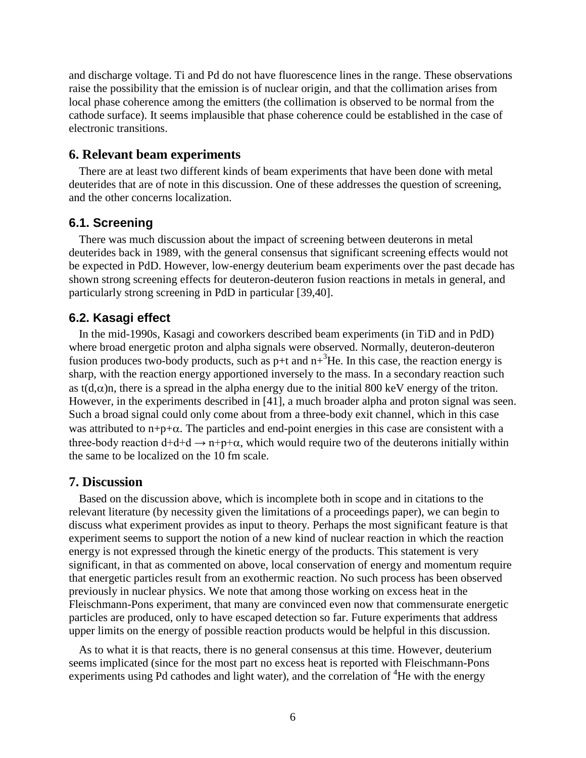and discharge voltage. Ti and Pd do not have fluorescence lines in the range. These observations raise the possibility that the emission is of nuclear origin, and that the collimation arises from local phase coherence among the emitters (the collimation is observed to be normal from the cathode surface). It seems implausible that phase coherence could be established in the case of electronic transitions.

## **6. Relevant beam experiments**

There are at least two different kinds of beam experiments that have been done with metal deuterides that are of note in this discussion. One of these addresses the question of screening, and the other concerns localization.

## **6.1. Screening**

There was much discussion about the impact of screening between deuterons in metal deuterides back in 1989, with the general consensus that significant screening effects would not be expected in PdD. However, low-energy deuterium beam experiments over the past decade has shown strong screening effects for deuteron-deuteron fusion reactions in metals in general, and particularly strong screening in PdD in particular [39,40].

## **6.2. Kasagi effect**

In the mid-1990s, Kasagi and coworkers described beam experiments (in TiD and in PdD) where broad energetic proton and alpha signals were observed. Normally, deuteron-deuteron fusion produces two-body products, such as  $p+t$  and  $n+3$ He. In this case, the reaction energy is sharp, with the reaction energy apportioned inversely to the mass. In a secondary reaction such as  $t(d,\alpha)$ n, there is a spread in the alpha energy due to the initial 800 keV energy of the triton. However, in the experiments described in [41], a much broader alpha and proton signal was seen. Such a broad signal could only come about from a three-body exit channel, which in this case was attributed to  $n+p+\alpha$ . The particles and end-point energies in this case are consistent with a three-body reaction  $d+d+d \rightarrow n+p+\alpha$ , which would require two of the deuterons initially within the same to be localized on the 10 fm scale.

## **7. Discussion**

Based on the discussion above, which is incomplete both in scope and in citations to the relevant literature (by necessity given the limitations of a proceedings paper), we can begin to discuss what experiment provides as input to theory. Perhaps the most significant feature is that experiment seems to support the notion of a new kind of nuclear reaction in which the reaction energy is not expressed through the kinetic energy of the products. This statement is very significant, in that as commented on above, local conservation of energy and momentum require that energetic particles result from an exothermic reaction. No such process has been observed previously in nuclear physics. We note that among those working on excess heat in the Fleischmann-Pons experiment, that many are convinced even now that commensurate energetic particles are produced, only to have escaped detection so far. Future experiments that address upper limits on the energy of possible reaction products would be helpful in this discussion.

As to what it is that reacts, there is no general consensus at this time. However, deuterium seems implicated (since for the most part no excess heat is reported with Fleischmann-Pons experiments using Pd cathodes and light water), and the correlation of  ${}^{4}$ He with the energy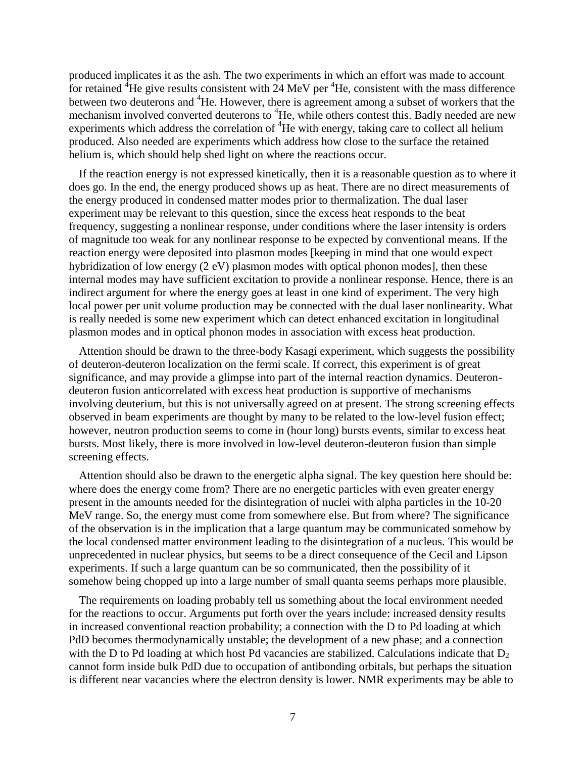produced implicates it as the ash. The two experiments in which an effort was made to account for retained  ${}^{4}$ He give results consistent with 24 MeV per  ${}^{4}$ He, consistent with the mass difference between two deuterons and <sup>4</sup>He. However, there is agreement among a subset of workers that the mechanism involved converted deuterons to <sup>4</sup>He, while others contest this. Badly needed are new experiments which address the correlation of  ${}^{4}$ He with energy, taking care to collect all helium produced. Also needed are experiments which address how close to the surface the retained helium is, which should help shed light on where the reactions occur.

If the reaction energy is not expressed kinetically, then it is a reasonable question as to where it does go. In the end, the energy produced shows up as heat. There are no direct measurements of the energy produced in condensed matter modes prior to thermalization. The dual laser experiment may be relevant to this question, since the excess heat responds to the beat frequency, suggesting a nonlinear response, under conditions where the laser intensity is orders of magnitude too weak for any nonlinear response to be expected by conventional means. If the reaction energy were deposited into plasmon modes [keeping in mind that one would expect hybridization of low energy (2 eV) plasmon modes with optical phonon modes], then these internal modes may have sufficient excitation to provide a nonlinear response. Hence, there is an indirect argument for where the energy goes at least in one kind of experiment. The very high local power per unit volume production may be connected with the dual laser nonlinearity. What is really needed is some new experiment which can detect enhanced excitation in longitudinal plasmon modes and in optical phonon modes in association with excess heat production.

Attention should be drawn to the three-body Kasagi experiment, which suggests the possibility of deuteron-deuteron localization on the fermi scale. If correct, this experiment is of great significance, and may provide a glimpse into part of the internal reaction dynamics. Deuterondeuteron fusion anticorrelated with excess heat production is supportive of mechanisms involving deuterium, but this is not universally agreed on at present. The strong screening effects observed in beam experiments are thought by many to be related to the low-level fusion effect; however, neutron production seems to come in (hour long) bursts events, similar to excess heat bursts. Most likely, there is more involved in low-level deuteron-deuteron fusion than simple screening effects.

Attention should also be drawn to the energetic alpha signal. The key question here should be: where does the energy come from? There are no energetic particles with even greater energy present in the amounts needed for the disintegration of nuclei with alpha particles in the 10-20 MeV range. So, the energy must come from somewhere else. But from where? The significance of the observation is in the implication that a large quantum may be communicated somehow by the local condensed matter environment leading to the disintegration of a nucleus. This would be unprecedented in nuclear physics, but seems to be a direct consequence of the Cecil and Lipson experiments. If such a large quantum can be so communicated, then the possibility of it somehow being chopped up into a large number of small quanta seems perhaps more plausible.

The requirements on loading probably tell us something about the local environment needed for the reactions to occur. Arguments put forth over the years include: increased density results in increased conventional reaction probability; a connection with the D to Pd loading at which PdD becomes thermodynamically unstable; the development of a new phase; and a connection with the D to Pd loading at which host Pd vacancies are stabilized. Calculations indicate that  $D<sub>2</sub>$ cannot form inside bulk PdD due to occupation of antibonding orbitals, but perhaps the situation is different near vacancies where the electron density is lower. NMR experiments may be able to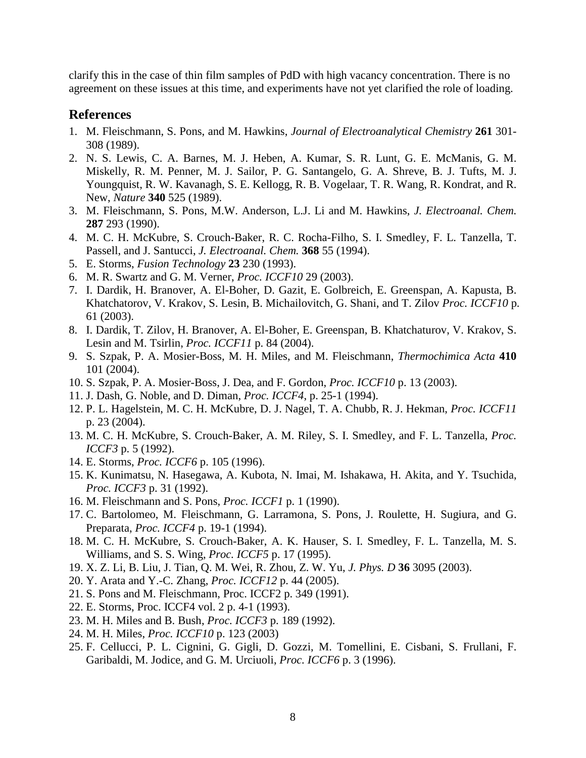clarify this in the case of thin film samples of PdD with high vacancy concentration. There is no agreement on these issues at this time, and experiments have not yet clarified the role of loading.

## **References**

- 1. M. Fleischmann, S. Pons, and M. Hawkins, *Journal of Electroanalytical Chemistry* **261** 301- 308 (1989).
- 2. N. S. Lewis, C. A. Barnes, M. J. Heben, A. Kumar, S. R. Lunt, G. E. McManis, G. M. Miskelly, R. M. Penner, M. J. Sailor, P. G. Santangelo, G. A. Shreve, B. J. Tufts, M. J. Youngquist, R. W. Kavanagh, S. E. Kellogg, R. B. Vogelaar, T. R. Wang, R. Kondrat, and R. New, *Nature* **340** 525 (1989).
- 3. M. Fleischmann, S. Pons, M.W. Anderson, L.J. Li and M. Hawkins, *J. Electroanal. Chem.* **287** 293 (1990).
- 4. M. C. H. McKubre, S. Crouch-Baker, R. C. Rocha-Filho, S. I. Smedley, F. L. Tanzella, T. Passell, and J. Santucci, *J. Electroanal. Chem.* **368** 55 (1994).
- 5. E. Storms, *Fusion Technology* **23** 230 (1993).
- 6. M. R. Swartz and G. M. Verner, *Proc. ICCF10* 29 (2003).
- 7. I. Dardik, H. Branover, A. El-Boher, D. Gazit, E. Golbreich, E. Greenspan, A. Kapusta, B. Khatchatorov, V. Krakov, S. Lesin, B. Michailovitch, G. Shani, and T. Zilov *Proc. ICCF10* p. 61 (2003).
- 8. I. Dardik, T. Zilov, H. Branover, A. El-Boher, E. Greenspan, B. Khatchaturov, V. Krakov, S. Lesin and M. Tsirlin, *Proc. ICCF11* p. 84 (2004).
- 9. S. Szpak, P. A. Mosier-Boss, M. H. Miles, and M. Fleischmann, *Thermochimica Acta* **410** 101 (2004).
- 10. S. Szpak, P. A. Mosier-Boss, J. Dea, and F. Gordon, *Proc. ICCF10* p. 13 (2003).
- 11. J. Dash, G. Noble, and D. Diman, *Proc. ICCF4*, p. 25-1 (1994).
- 12. P. L. Hagelstein, M. C. H. McKubre, D. J. Nagel, T. A. Chubb, R. J. Hekman, *Proc. ICCF11* p. 23 (2004).
- 13. M. C. H. McKubre, S. Crouch-Baker, A. M. Riley, S. I. Smedley, and F. L. Tanzella, *Proc. ICCF3* p. 5 (1992).
- 14. E. Storms, *Proc. ICCF6* p. 105 (1996).
- 15. K. Kunimatsu, N. Hasegawa, A. Kubota, N. Imai, M. Ishakawa, H. Akita, and Y. Tsuchida, *Proc. ICCF3* p. 31 (1992).
- 16. M. Fleischmann and S. Pons, *Proc. ICCF1* p. 1 (1990).
- 17. C. Bartolomeo, M. Fleischmann, G. Larramona, S. Pons, J. Roulette, H. Sugiura, and G. Preparata, *Proc. ICCF4* p. 19-1 (1994).
- 18. M. C. H. McKubre, S. Crouch-Baker, A. K. Hauser, S. I. Smedley, F. L. Tanzella, M. S. Williams, and S. S. Wing, *Proc. ICCF5* p. 17 (1995).
- 19. X. Z. Li, B. Liu, J. Tian, Q. M. Wei, R. Zhou, Z. W. Yu, *J. Phys. D* **36** 3095 (2003).
- 20. Y. Arata and Y.-C. Zhang, *Proc. ICCF12* p. 44 (2005).
- 21. S. Pons and M. Fleischmann, Proc. ICCF2 p. 349 (1991).
- 22. E. Storms, Proc. ICCF4 vol. 2 p. 4-1 (1993).
- 23. M. H. Miles and B. Bush, *Proc. ICCF3* p. 189 (1992).
- 24. M. H. Miles, *Proc. ICCF10* p. 123 (2003)
- 25. F. Cellucci, P. L. Cignini, G. Gigli, D. Gozzi, M. Tomellini, E. Cisbani, S. Frullani, F. Garibaldi, M. Jodice, and G. M. Urciuoli, *Proc. ICCF6* p. 3 (1996).